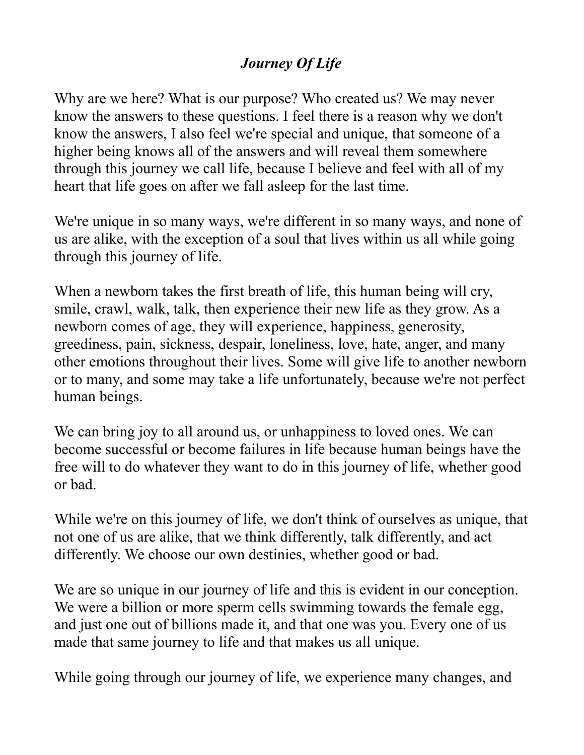## *Journey Of Life*

Why are we here? What is our purpose? Who created us? We may never know the answers to these questions. I feel there is a reason why we don't know the answers, I also feel we're special and unique, that someone of a higher being knows all of the answers and will reveal them somewhere through this journey we call life, because I believe and feel with all of my heart that life goes on after we fall asleep for the last time.

We're unique in so many ways, we're different in so many ways, and none of us are alike, with the exception of a soul that lives within us all while going through this journey of life.

When a newborn takes the first breath of life, this human being will cry, smile, crawl, walk, talk, then experience their new life as they grow. As a newborn comes of age, they will experience, happiness, generosity, greediness, pain, sickness, despair, loneliness, love, hate, anger, and many other emotions throughout their lives. Some will give life to another newborn or to many, and some may take a life unfortunately, because we're not perfect human beings.

We can bring joy to all around us, or unhappiness to loved ones. We can become successful or become failures in life because human beings have the free will to do whatever they want to do in this journey of life, whether good or bad.

While we're on this journey of life, we don't think of ourselves as unique, that not one of us are alike, that we think differently, talk differently, and act differently. We choose our own destinies, whether good or bad.

We are so unique in our journey of life and this is evident in our conception. We were a billion or more sperm cells swimming towards the female egg, and just one out of billions made it, and that one was you. Every one of us made that same journey to life and that makes us all unique.

While going through our journey of life, we experience many changes, and